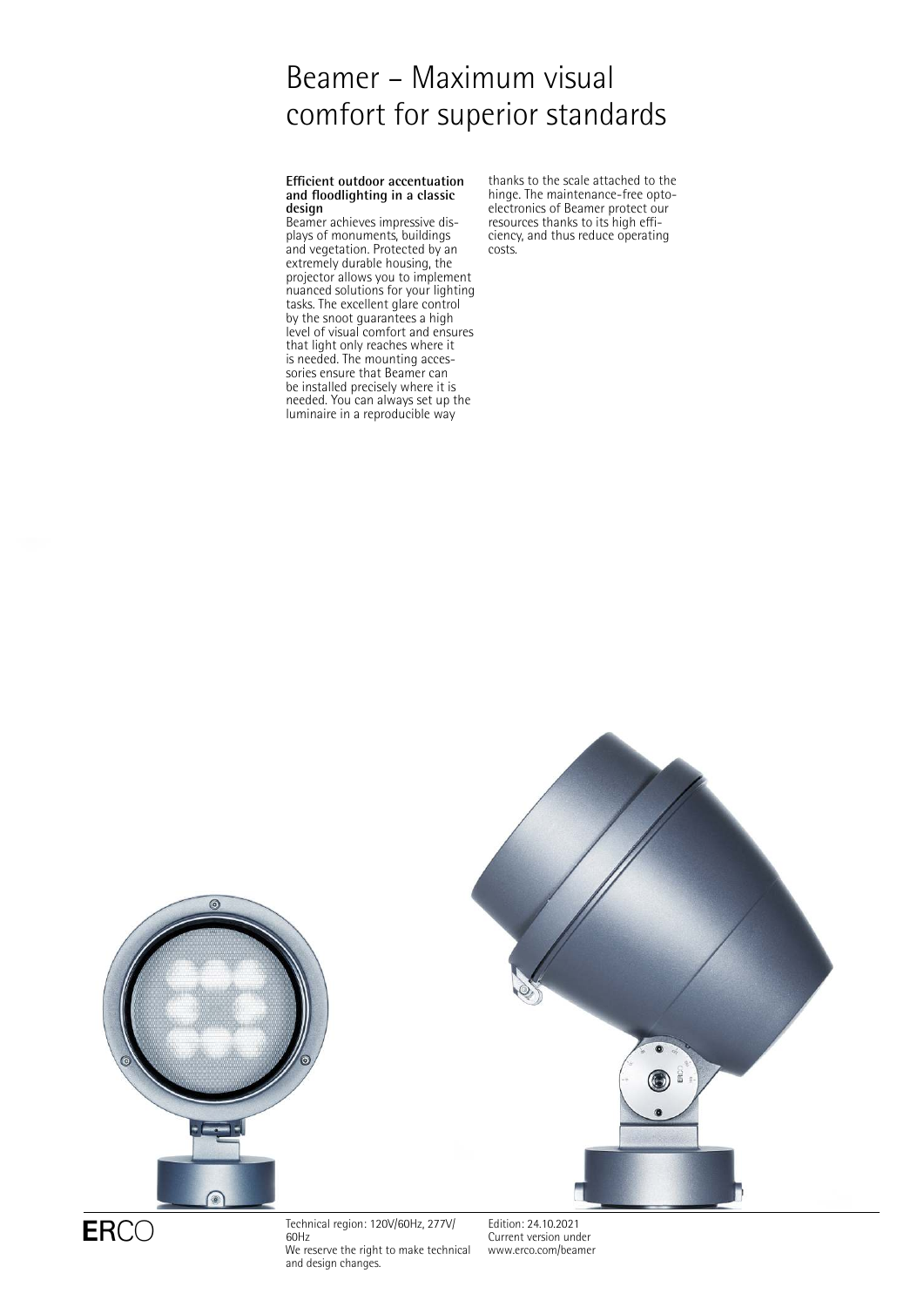# Beamer – Maximum visual comfort for superior standards

#### **Efficient outdoor accentuation and floodlighting in a classic design**

Beamer achieves impressive displays of monuments, buildings and vegetation. Protected by an extremely durable housing, the projector allows you to implement nuanced solutions for your lighting tasks. The excellent glare control by the snoot guarantees a high level of visual comfort and ensures that light only reaches where it is needed. The mounting accessories ensure that Beamer can be installed precisely where it is needed. You can always set up the luminaire in a reproducible way

thanks to the scale attached to the hinge. The maintenance-free optoelectronics of Beamer protect our resources thanks to its high efficiency, and thus reduce operating costs.





 $ERCO$  Technical region: 120V/60Hz, 277V/ 60Hz We reserve the right to make technical and design changes.

Edition: 24.10.2021 Current version under [www.erco.com/beamer](http://www.erco.com/beamer)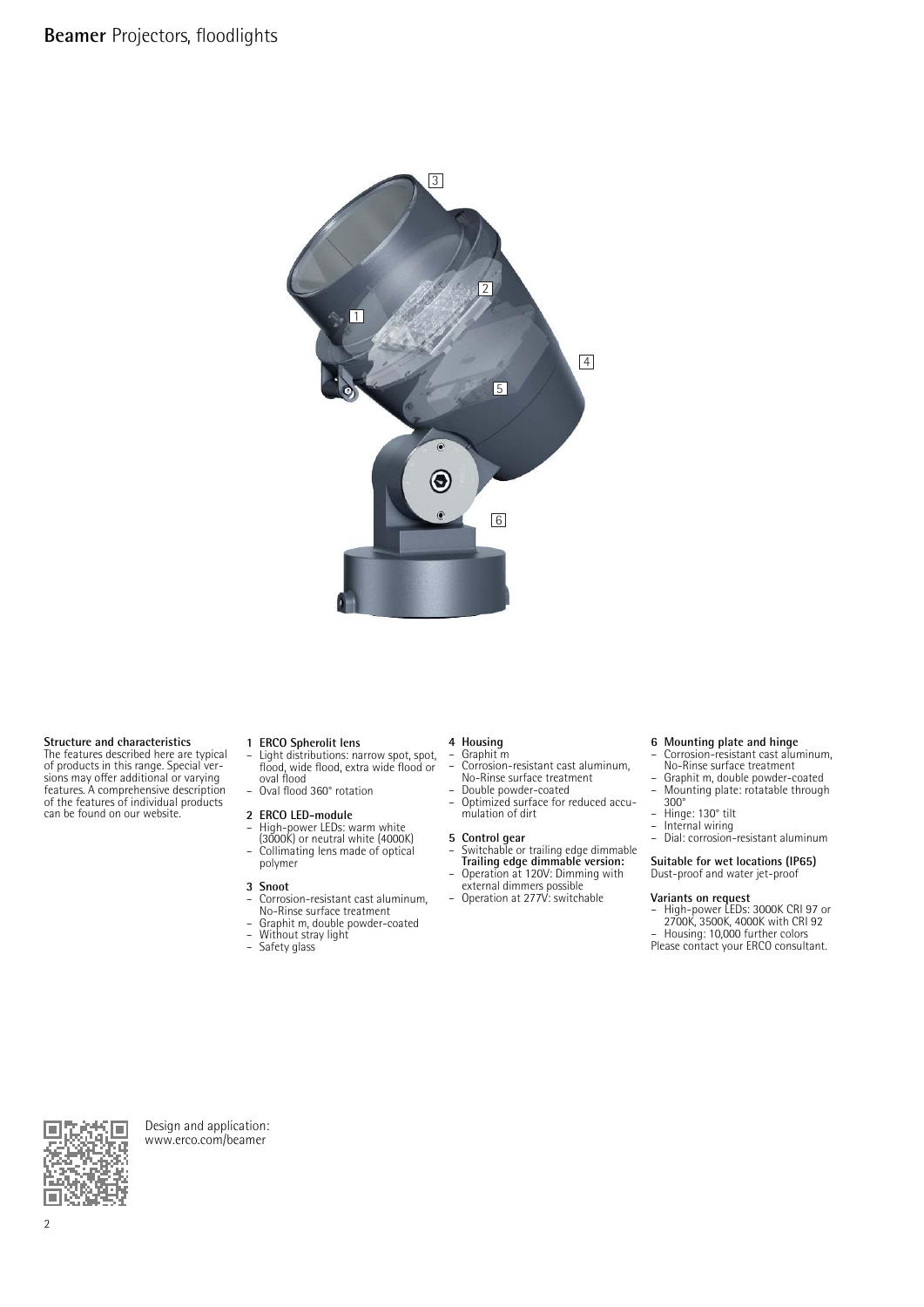

### **Structure and characteristics**

The features described here are typical of products in this range. Special ver-sions may offer additional or varying features. A comprehensive description of the features of individual products can be found on our website.

- **1 ERCO Spherolit lens** Light distributions: narrow spot, spot, flood, wide flood, extra wide flood or oval flood – Oval flood 360° rotation
- 

#### **2 ERCO LED-module** – High-power LEDs: warm white

(3000K) or neutral white (4000K) – Collimating lens made of optical polymer

#### **3 Snoot**

- Corrosion-resistant cast aluminum, No-Rinse surface treatment
- Graphit m, double powder-coated<br>– Without stray light<br>– Safety glass
- Without stray light
- Safety glass

## **4 Housing** – Graphit m

- Corrosion-resistant cast aluminum,
- No-Rinse surface treatment Double powder-coated
- Optimized surface for reduced accu-mulation of dirt

- **5 Control gear<br>
 Switchable or trailing edge dimmable<br>
<b>Trailing edge dimmable version:**<br>
 Operation at 120V: Dimming with
- external dimmers possible Operation at 277V: switchable
- 

## **6 Mounting plate and hinge** – Corrosion-resistant cast aluminum,

- No-Rinse surface treatment
- Graphit m, double powder-coated Mounting plate: rotatable through 300°
- Hinge: 130° tilt
- 
- Internal wiring Dial: corrosion-resistant aluminum

### **Suitable for wet locations (IP65)**

Dust-proof and water jet-proof

**Variants on request** – High-power LEDs: 3000K CRI 97 or 2700K, 3500K, 4000K with CRI 92 – Housing: 10,000 further colors Please contact your ERCO consultant.



Design and application: [www.erco.com/beamer](http://www.erco.com/beamer)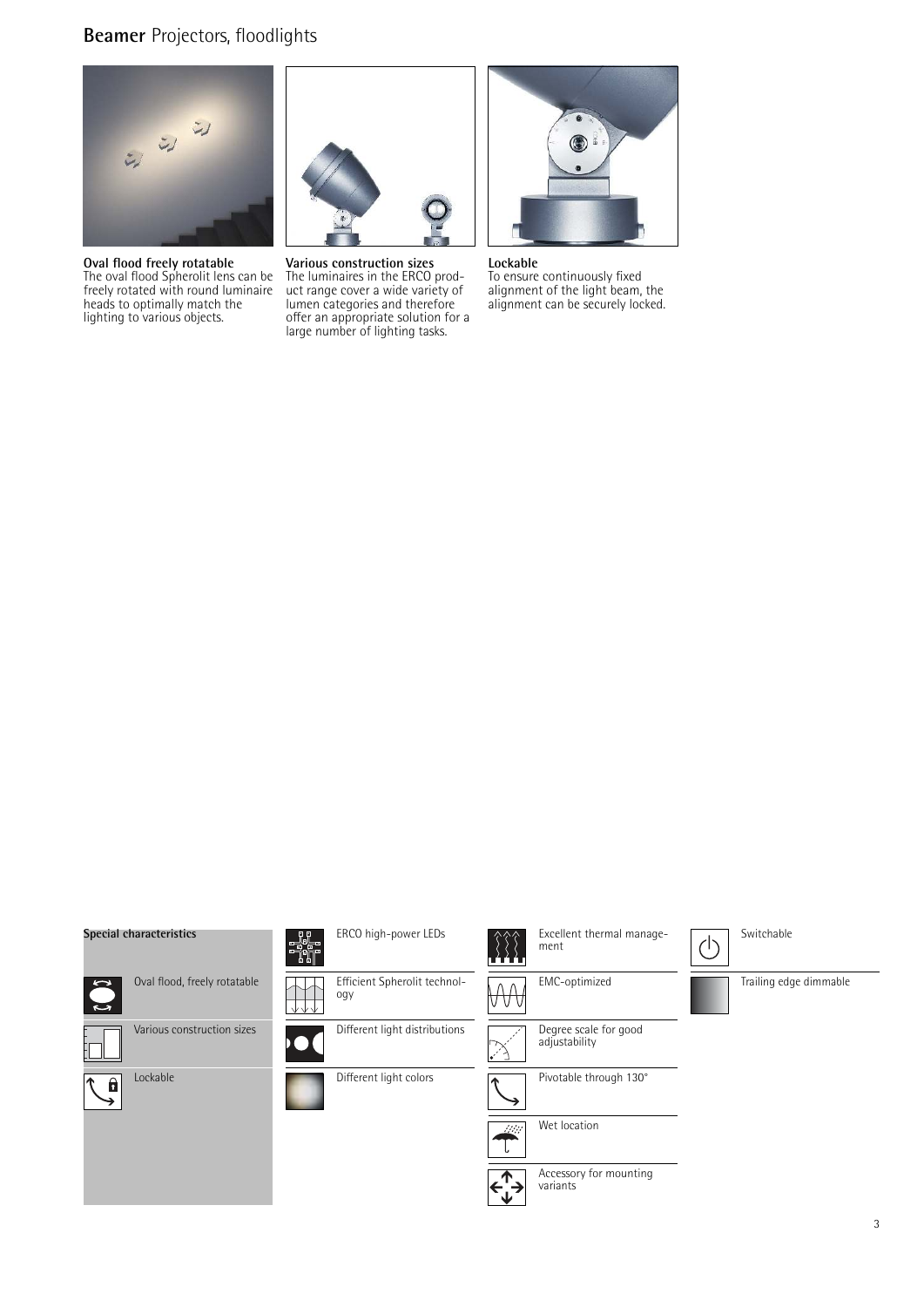## **Beamer** Projectors, floodlights



**Oval flood freely rotatable** The oval flood Spherolit lens can be freely rotated with round luminaire heads to optimally match the lighting to various objects.



**Various construction sizes** The luminaires in the ERCO product range cover a wide variety of lumen categories and therefore offer an appropriate solution for a large number of lighting tasks.



**Lockable** To ensure continuously fixed alignment of the light beam, the alignment can be securely locked.

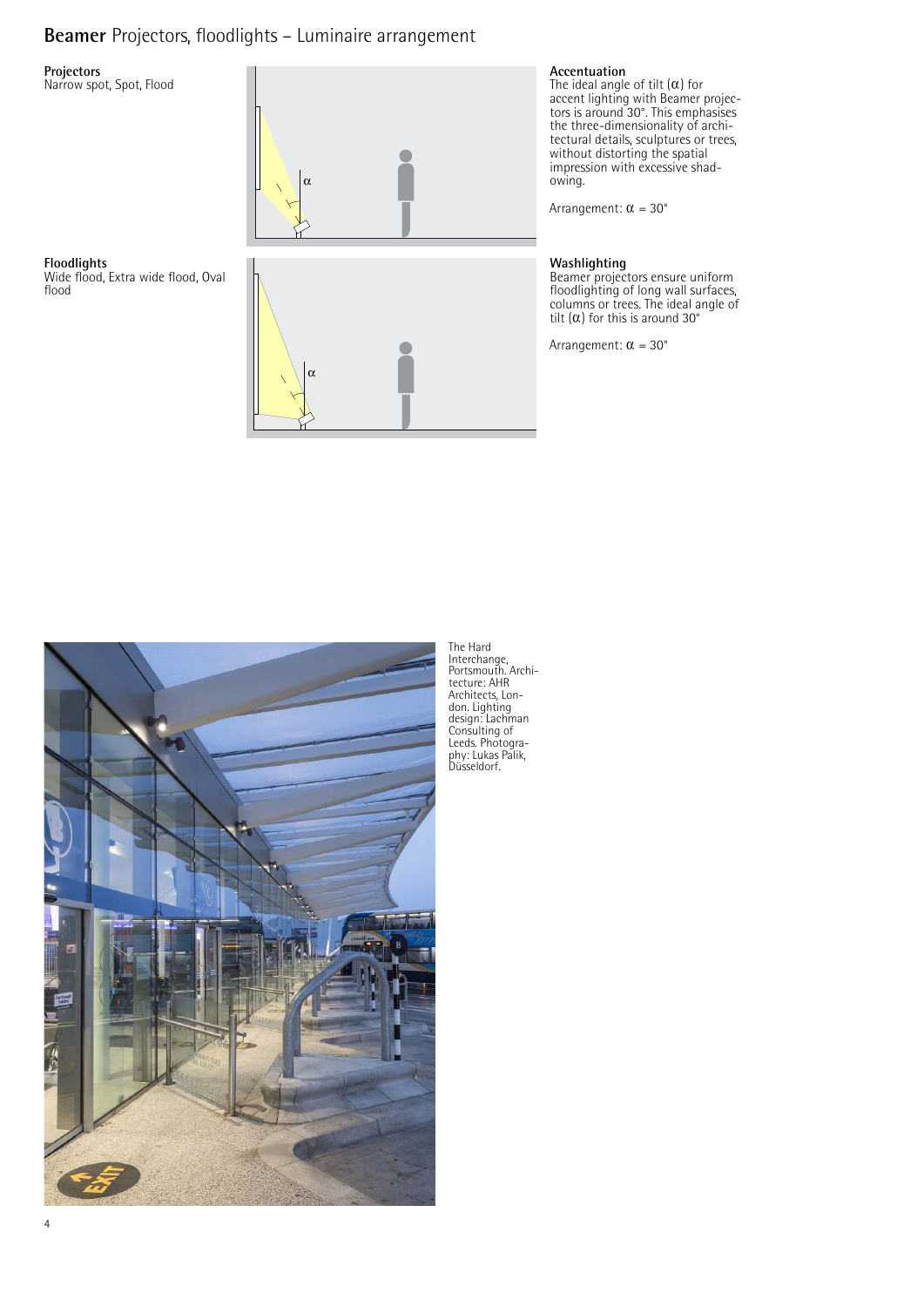## **Beamer** Projectors, floodlights – Luminaire arrangement

### **Projectors**

**Floodlights**

flood

Narrow spot, Spot, Flood

Wide flood, Extra wide flood, Oval





**Accentuation**<br>The ideal angle of tilt (α) for accent lighting with Beamer projec-tors is around 30°. This emphasises the three-dimensionality of architectural details, sculptures or trees, without distorting the spatial impression with excessive shadowing.

Arrangement:  $\alpha = 30^{\circ}$ 

### **Washlighting**

Beamer projectors ensure uniform floodlighting of long wall surfaces, columns or trees. The ideal angle of tilt  $(\alpha)$  for this is around 30°

Arrangement:  $\alpha = 30^{\circ}$ 



The Hard Interchange, Portsmouth. Archi-tecture: AHR Architects, Lon-don. Lighting design: Lachman Consulting of Leeds. Photogra-phy: Lukas Palik, Düsseldorf.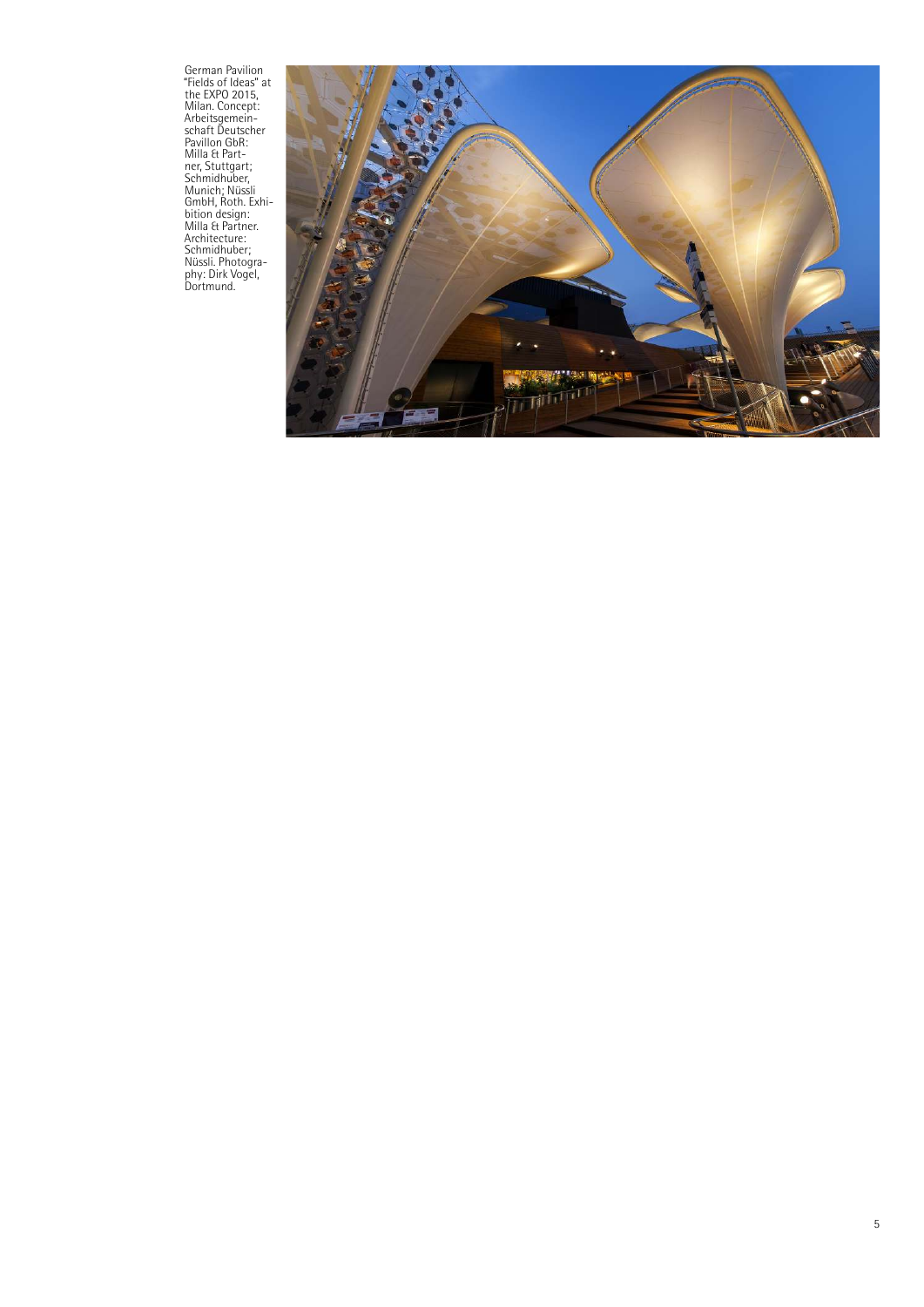German Pavilion<br>"Fields of Ideas" at<br>the EXPO 2015,<br>Milan. Concept:<br>Arbeitsgemein-<br>Schaft Deutscher<br>Pavillon GbR:<br>Pavillon GbR:<br>Milla & Part-<br>Milan & Munich; Nussii<br>GmbH, Roth. Exhi-<br>bition design:<br>Milla & Partner.<br>Michion

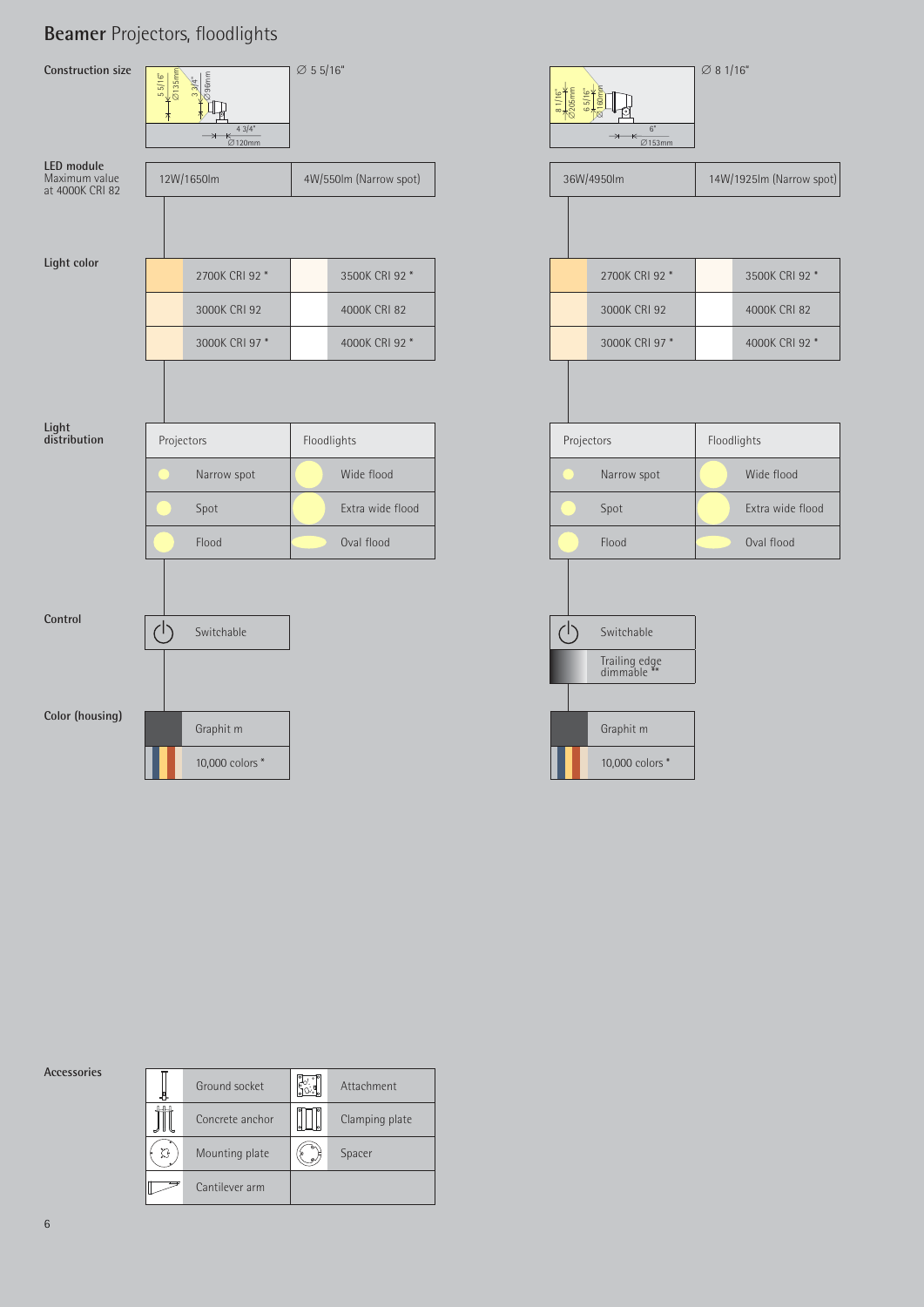## **Beamer** Projectors, floodlights



**Accessories**

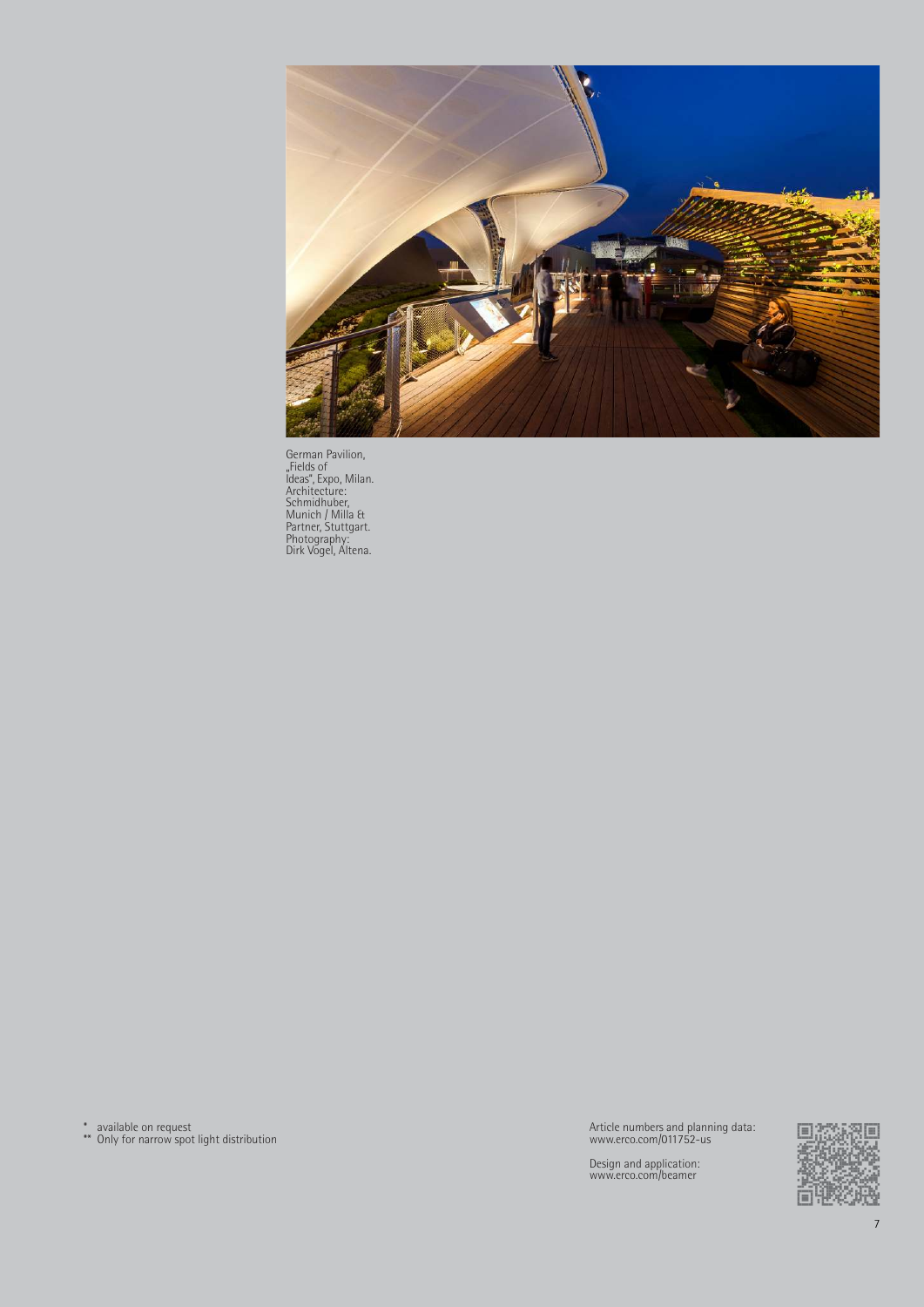

German Pavilion,<br>
"Fields of<br>
Jdeas", Expo, Milan.<br>
Architecture:<br>
Schmidhuber,<br>
Munich / Milla &<br>
Partner, Stuttgart.<br>
Photography:<br>
Dirk Vogel, Altena.

\* available on request \*\* Only for narrow spot light distribution

Article numbers and planning data: www.erco.com/011752-us

Design and application: www.erco.com/beamer